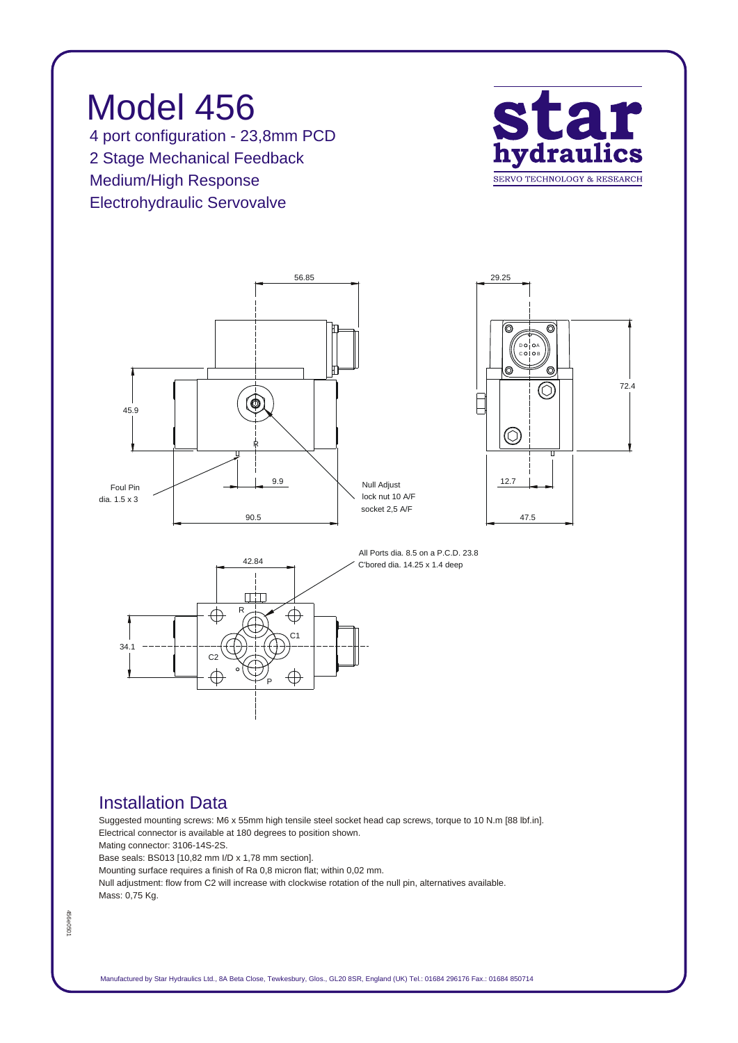







### *All Ports dia. 8.5 on a P.C.D. 23.8 C'bored dia. 14.25 x 1.4 deep*

### *Installation Data*

*Suggested mounting screws: M6 x 55mm high tensile steel socket head cap screws, torque to 10 N.m [88 lbf.in]. Electrical connector is available at 180 degrees to position shown. Mating connector: 3106-14S-2S. Base seals: BS013 [10,82 mm I/D x 1,78 mm section].*

*Mounting surface requires a finish of Ra 0,8 micron flat; within 0,02 mm. Null adjustment: flow from C2 will increase with clockwise rotation of the null pin, alternatives available. Mass: 0,75 Kg.*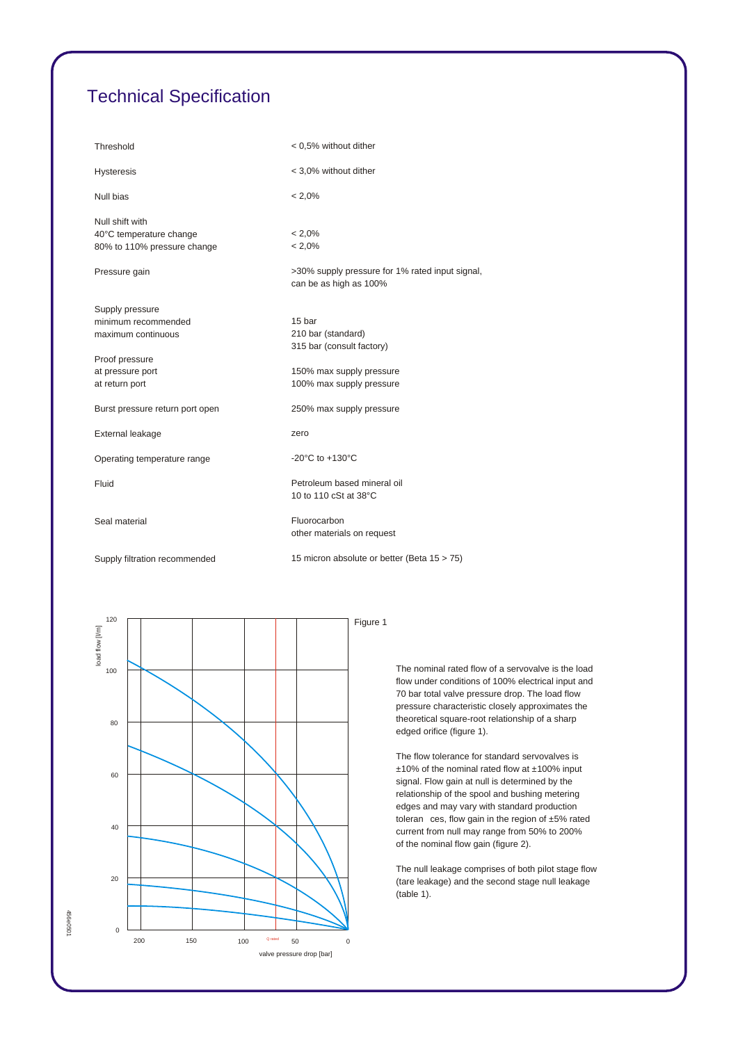# *Technical Specification*

| Threshold                       | < 0,5% without dither                                                     |  |
|---------------------------------|---------------------------------------------------------------------------|--|
| <b>Hysteresis</b>               | < 3,0% without dither                                                     |  |
| Null bias                       | $< 2.0\%$                                                                 |  |
| Null shift with                 |                                                                           |  |
| 40°C temperature change         | $< 2.0\%$                                                                 |  |
| 80% to 110% pressure change     | $< 2.0\%$                                                                 |  |
| Pressure gain                   | >30% supply pressure for 1% rated input signal,<br>can be as high as 100% |  |
| Supply pressure                 |                                                                           |  |
| minimum recommended             | 15 bar                                                                    |  |
| maximum continuous              | 210 bar (standard)                                                        |  |
|                                 | 315 bar (consult factory)                                                 |  |
| Proof pressure                  |                                                                           |  |
| at pressure port                | 150% max supply pressure                                                  |  |
| at return port                  | 100% max supply pressure                                                  |  |
| Burst pressure return port open | 250% max supply pressure                                                  |  |
| External leakage                | zero                                                                      |  |
| Operating temperature range     | -20 $^{\circ}$ C to +130 $^{\circ}$ C                                     |  |
| Fluid                           | Petroleum based mineral oil<br>10 to 110 cSt at 38°C                      |  |
| Seal material                   | Fluorocarbon<br>other materials on request                                |  |
| Supply filtration recommended   | 15 micron absolute or better (Beta 15 > 75)                               |  |

*120 Figure 1* load flow [I/m] *load flow [l/m] 100 80 60 40 20 0 200 150 100 Q rated0 50 valve pressure drop [bar]*

*456e0501*

456e0501

*The nominal rated flow of a servovalve is the load flow under conditions of 100% electrical input and 70 bar total valve pressure drop. The load flow pressure characteristic closely approximates the theoretical square-root relationship of a sharp edged orifice (figure 1).*

*The flow tolerance for standard servovalves is ±10% of the nominal rated flow at ±100% input signal. Flow gain at null is determined by the relationship of the spool and bushing metering edges and may vary with standard production toleran ces, flow gain in the region of ±5% rated current from null may range from 50% to 200% of the nominal flow gain (figure 2).*

*The null leakage comprises of both pilot stage flow (tare leakage) and the second stage null leakage (table 1).*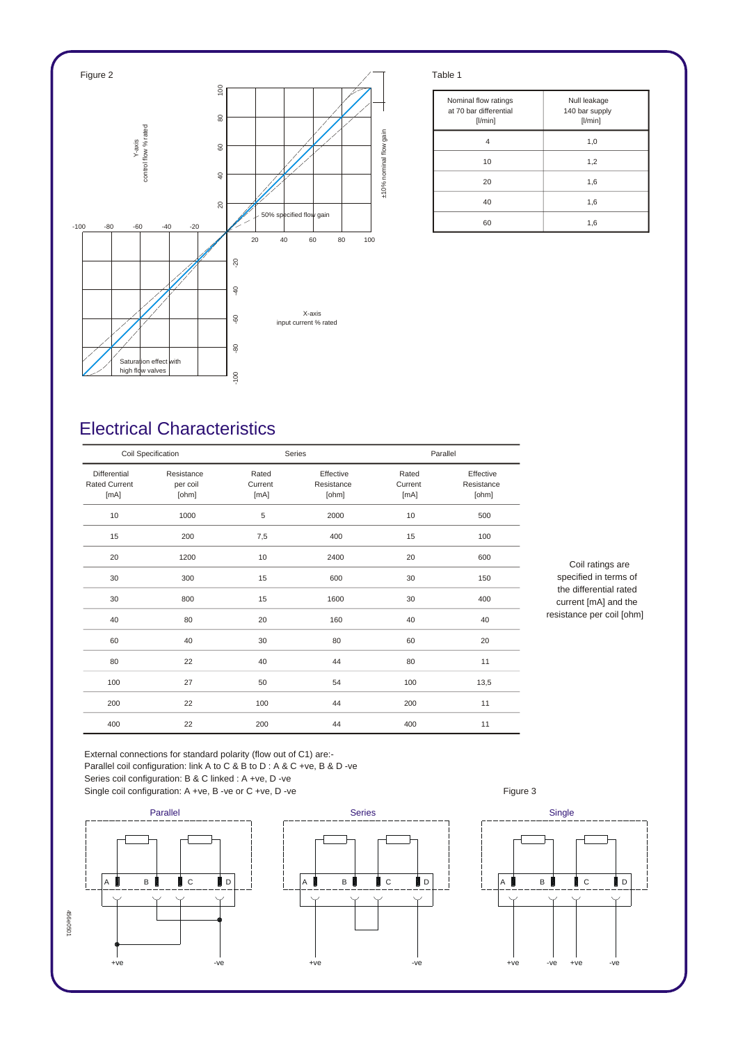

| Nominal flow ratings<br>at 70 bar differential<br>[1/min] | Null leakage<br>140 bar supply<br>[1/min] |
|-----------------------------------------------------------|-------------------------------------------|
|                                                           | 1,0                                       |
| 10                                                        | 1,2                                       |
| 20                                                        | 1,6                                       |
| 40                                                        | 1,6                                       |
| 60                                                        | 1,6                                       |

## *Electrical Characteristics*

| Coil Specification                           |                                 | Series                   |                                  | Parallel                 |                                  |
|----------------------------------------------|---------------------------------|--------------------------|----------------------------------|--------------------------|----------------------------------|
| Differential<br><b>Rated Current</b><br>[mA] | Resistance<br>per coil<br>[ohm] | Rated<br>Current<br>[mA] | Effective<br>Resistance<br>[ohm] | Rated<br>Current<br>[mA] | Effective<br>Resistance<br>[ohm] |
| 10                                           | 1000                            | 5                        | 2000                             | 10                       | 500                              |
| 15                                           | 200                             | 7,5                      | 400                              | 15                       | 100                              |
| 20                                           | 1200                            | 10                       | 2400                             | 20                       | 600                              |
| 30                                           | 300                             | 15                       | 600                              | 30                       | 150                              |
| 30                                           | 800                             | 15                       | 1600                             | 30                       | 400                              |
| 40                                           | 80                              | 20                       | 160                              | 40                       | 40                               |
| 60                                           | 40                              | 30                       | 80                               | 60                       | 20                               |
| 80                                           | 22                              | 40                       | 44                               | 80                       | 11                               |
| 100                                          | 27                              | 50                       | 54                               | 100                      | 13,5                             |
| 200                                          | 22                              | 100                      | 44                               | 200                      | 11                               |
| 400                                          | 22                              | 200                      | 44                               | 400                      | 11                               |

*Coil ratings are specified in terms of the differential rated current [mA] and the resistance per coil [ohm]*

*External connections for standard polarity (flow out of C1) are:- Parallel coil configuration: link A to C & B to D : A & C +ve, B & D -ve Series coil configuration: B & C linked : A +ve, D -ve*